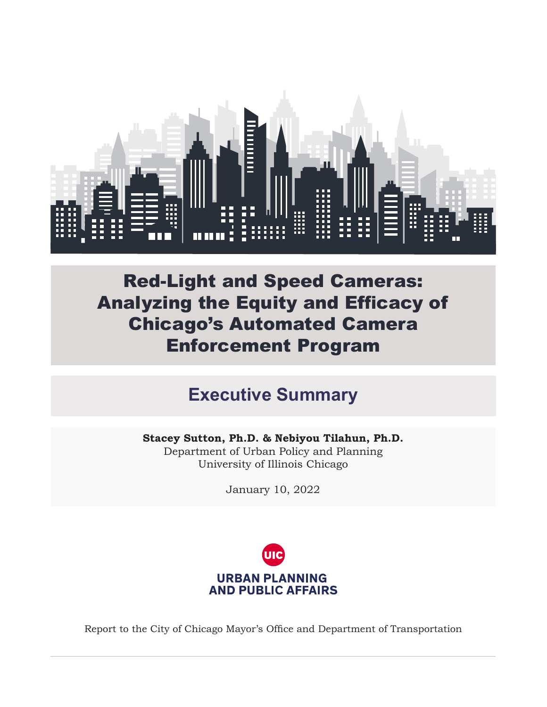

Red-Light and Speed Cameras: Analyzing the Equity and Efficacy of Chicago's Automated Camera Enforcement Program

## **Executive Summary**

**Stacey Sutton, Ph.D. & Nebiyou Tilahun, Ph.D.**  Department of Urban Policy and Planning University of Illinois Chicago

January 10, 2022



Report to the City of Chicago Mayor's Office and Department of Transportation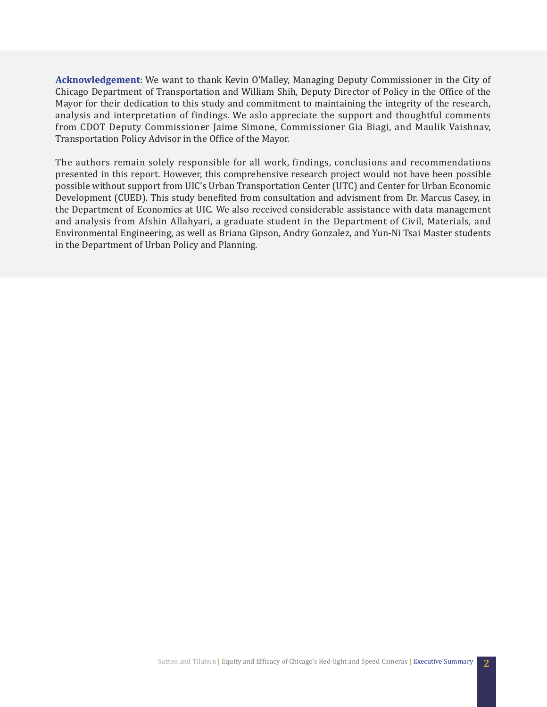**Acknowledgement**: We want to thank Kevin O'Malley, Managing Deputy Commissioner in the City of Chicago Department of Transportation and William Shih, Deputy Director of Policy in the Office of the Mayor for their dedication to this study and commitment to maintaining the integrity of the research, analysis and interpretation of findings. We aslo appreciate the support and thoughtful comments from CDOT Deputy Commissioner Jaime Simone, Commissioner Gia Biagi, and Maulik Vaishnav, Transportation Policy Advisor in the Office of the Mayor.

The authors remain solely responsible for all work, findings, conclusions and recommendations presented in this report. However, this comprehensive research project would not have been possible possible without support from UIC's Urban Transportation Center (UTC) and Center for Urban Economic Development (CUED). This study benefited from consultation and advisment from Dr. Marcus Casey, in the Department of Economics at UIC. We also received considerable assistance with data management and analysis from Afshin Allahyari, a graduate student in the Department of Civil, Materials, and Environmental Engineering, as well as Briana Gipson, Andry Gonzalez, and Yun-Ni Tsai Master students in the Department of Urban Policy and Planning.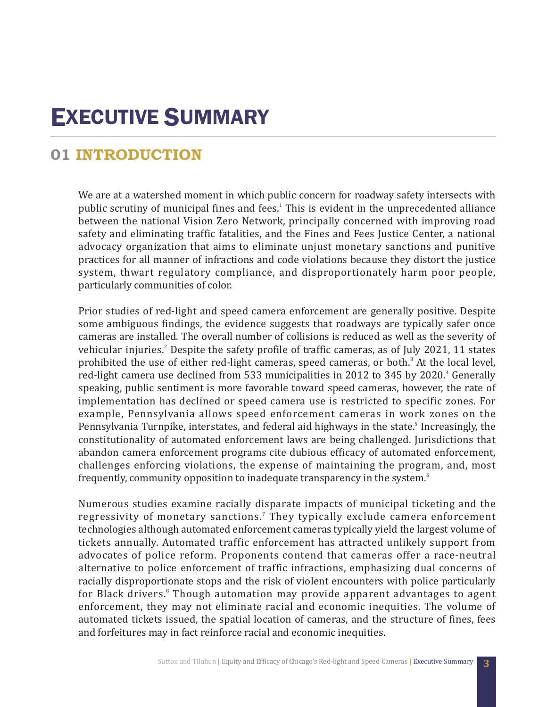# EXECUTIVE SUMMARY

### **01 INTRODUCTION**

We are at a watershed moment in which public concern for roadway safety intersects with public scrutiny of municipal fines and fees.<sup>1</sup> This is evident in the unprecedented alliance between the national Vision Zero Network, principally concerned with improving road safety and eliminating traffic fatalities, and the Fines and Fees Justice Center, a national advocacy organization that aims to eliminate unjust monetary sanctions and punitive practices for all manner of infractions and code violations because they distort the justice system, thwart regulatory compliance, and disproportionately harm poor people, particularly communities of color.

Prior studies of red-light and speed camera enforcement are generally positive. Despite some ambiguous findings, the evidence suggests that roadways are typically safer once cameras are installed. The overall number of collisions is reduced as well as the severity of vehicular injuries.<sup>2</sup> Despite the safety profile of traffic cameras, as of July 2021, 11 states prohibited the use of either red-light cameras, speed cameras, or both.<sup>3</sup> At the local level, red-light camera use declined from 533 municipalities in 2012 to 345 by 2020.<sup>4</sup> Generally speaking, public sentiment is more favorable toward speed cameras, however, the rate of implementation has declined or speed camera use is restricted to specific zones. For example, Pennsylvania allows speed enforcement cameras in work zones on the Pennsylvania Turnpike, interstates, and federal aid highways in the state.<sup>5</sup> Increasingly, the constitutionality of automated enforcement laws are being challenged. Jurisdictions that abandon camera enforcement programs cite dubious efficacy of automated enforcement, challenges enforcing violations, the expense of maintaining the program, and, most frequently, community opposition to inadequate transparency in the system.<sup>6</sup>

Numerous studies examine racially disparate impacts of municipal ticketing and the regressivity of monetary sanctions.<sup>7</sup> They typically exclude camera enforcement technologies although automated enforcement cameras typically yield the largest volume of tickets annually. Automated traffic enforcement has attracted unlikely support from advocates of police reform. Proponents contend that cameras offer a race-neutral alternative to police enforcement of traffic infractions, emphasizing dual concerns of racially disproportionate stops and the risk of violent encounters with police particularly for Black drivers.<sup>8</sup> Though automation may provide apparent advantages to agent enforcement, they may not eliminate racial and economic inequities. The volume of automated tickets issued, the spatial location of cameras, and the structure of fines, fees and forfeitures may in fact reinforce racial and economic inequities.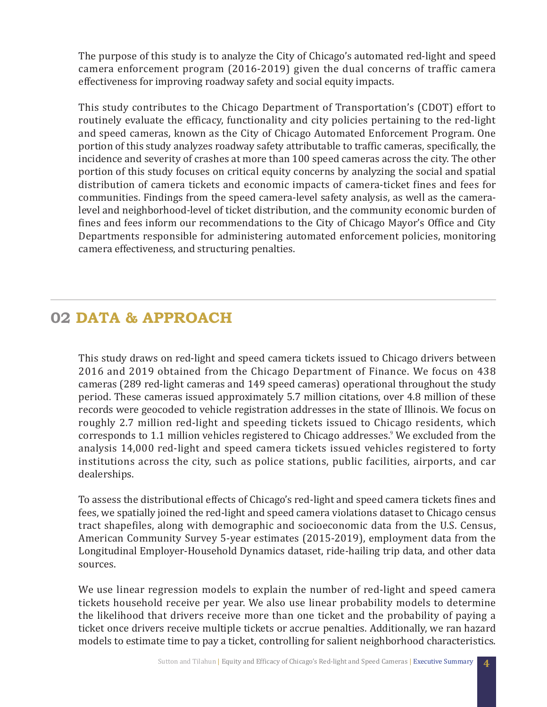The purpose of this study is to analyze the City of Chicago's automated red-light and speed camera enforcement program (2016-2019) given the dual concerns of traffic camera effectiveness for improving roadway safety and social equity impacts.

This study contributes to the Chicago Department of Transportation's (CDOT) effort to routinely evaluate the efficacy, functionality and city policies pertaining to the red-light and speed cameras, known as the City of Chicago Automated Enforcement Program. One portion of this study analyzes roadway safety attributable to traffic cameras, specifically, the incidence and severity of crashes at more than 100 speed cameras across the city. The other portion of this study focuses on critical equity concerns by analyzing the social and spatial distribution of camera tickets and economic impacts of camera-ticket fines and fees for communities. Findings from the speed camera-level safety analysis, as well as the cameralevel and neighborhood-level of ticket distribution, and the community economic burden of fines and fees inform our recommendations to the City of Chicago Mayor's Office and City Departments responsible for administering automated enforcement policies, monitoring camera effectiveness, and structuring penalties.

### **02 DATA & APPROACH**

This study draws on red-light and speed camera tickets issued to Chicago drivers between 2016 and 2019 obtained from the Chicago Department of Finance. We focus on 438 cameras (289 red-light cameras and 149 speed cameras) operational throughout the study period. These cameras issued approximately 5.7 million citations, over 4.8 million of these records were geocoded to vehicle registration addresses in the state of Illinois. We focus on roughly 2.7 million red-light and speeding tickets issued to Chicago residents, which corresponds to 1.1 million vehicles registered to Chicago addresses.<sup>9</sup> We excluded from the analysis 14,000 red-light and speed camera tickets issued vehicles registered to forty institutions across the city, such as police stations, public facilities, airports, and car dealerships.

To assess the distributional effects of Chicago's red-light and speed camera tickets fines and fees, we spatially joined the red-light and speed camera violations dataset to Chicago census tract shapefiles, along with demographic and socioeconomic data from the U.S. Census, American Community Survey 5-year estimates (2015-2019), employment data from the Longitudinal Employer-Household Dynamics dataset, ride-hailing trip data, and other data sources.

We use linear regression models to explain the number of red-light and speed camera tickets household receive per year. We also use linear probability models to determine the likelihood that drivers receive more than one ticket and the probability of paying a ticket once drivers receive multiple tickets or accrue penalties. Additionally, we ran hazard models to estimate time to pay a ticket, controlling for salient neighborhood characteristics.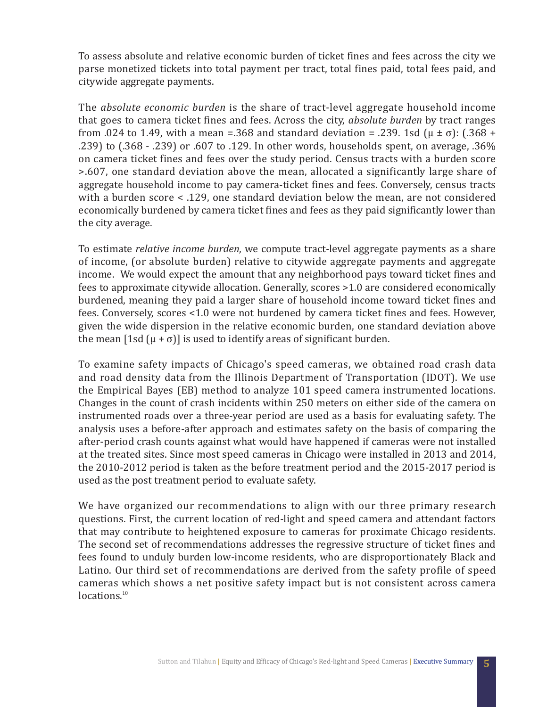To assess absolute and relative economic burden of ticket fines and fees across the city we parse monetized tickets into total payment per tract, total fines paid, total fees paid, and citywide aggregate payments.

The *absolute economic burden* is the share of tract-level aggregate household income that goes to camera ticket fines and fees. Across the city, *absolute burden* by tract ranges from .024 to 1.49, with a mean =.368 and standard deviation = .239. 1sd  $(\mu \pm \sigma)$ : (.368 + .239) to (.368 - .239) or .607 to .129. In other words, households spent, on average, .36% on camera ticket fines and fees over the study period. Census tracts with a burden score >.607, one standard deviation above the mean, allocated a significantly large share of aggregate household income to pay camera-ticket fines and fees. Conversely, census tracts with a burden score < .129, one standard deviation below the mean, are not considered economically burdened by camera ticket fines and fees as they paid significantly lower than the city average.

To estimate *relative income burden*, we compute tract-level aggregate payments as a share of income, (or absolute burden) relative to citywide aggregate payments and aggregate income. We would expect the amount that any neighborhood pays toward ticket fines and fees to approximate citywide allocation. Generally, scores >1.0 are considered economically burdened, meaning they paid a larger share of household income toward ticket fines and fees. Conversely, scores <1.0 were not burdened by camera ticket fines and fees. However, given the wide dispersion in the relative economic burden, one standard deviation above the mean  $[1sd(\mu + \sigma)]$  is used to identify areas of significant burden.

To examine safety impacts of Chicago's speed cameras, we obtained road crash data and road density data from the Illinois Department of Transportation (IDOT). We use the Empirical Bayes (EB) method to analyze 101 speed camera instrumented locations. Changes in the count of crash incidents within 250 meters on either side of the camera on instrumented roads over a three-year period are used as a basis for evaluating safety. The analysis uses a before-after approach and estimates safety on the basis of comparing the after-period crash counts against what would have happened if cameras were not installed at the treated sites. Since most speed cameras in Chicago were installed in 2013 and 2014, the 2010-2012 period is taken as the before treatment period and the 2015-2017 period is used as the post treatment period to evaluate safety.

We have organized our recommendations to align with our three primary research questions. First, the current location of red-light and speed camera and attendant factors that may contribute to heightened exposure to cameras for proximate Chicago residents. The second set of recommendations addresses the regressive structure of ticket fines and fees found to unduly burden low-income residents, who are disproportionately Black and Latino. Our third set of recommendations are derived from the safety profile of speed cameras which shows a net positive safety impact but is not consistent across camera locations.<sup>10</sup>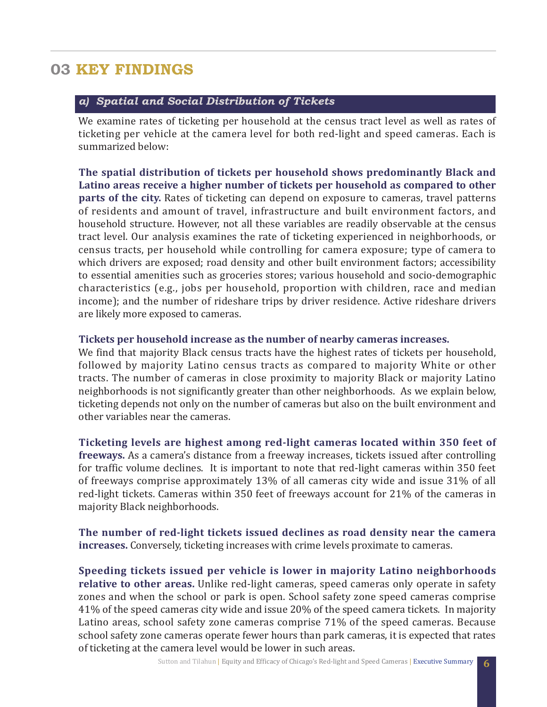### **03 KEY FINDINGS**

#### *a) Spatial and Social Distribution of Tickets*

We examine rates of ticketing per household at the census tract level as well as rates of ticketing per vehicle at the camera level for both red-light and speed cameras. Each is summarized below:

**The spatial distribution of tickets per household shows predominantly Black and Latino areas receive a higher number of tickets per household as compared to other parts of the city.** Rates of ticketing can depend on exposure to cameras, travel patterns of residents and amount of travel, infrastructure and built environment factors, and household structure. However, not all these variables are readily observable at the census tract level. Our analysis examines the rate of ticketing experienced in neighborhoods, or census tracts, per household while controlling for camera exposure; type of camera to which drivers are exposed; road density and other built environment factors; accessibility to essential amenities such as groceries stores; various household and socio-demographic characteristics (e.g., jobs per household, proportion with children, race and median income); and the number of rideshare trips by driver residence. Active rideshare drivers are likely more exposed to cameras.

#### **Tickets per household increase as the number of nearby cameras increases.**

We find that majority Black census tracts have the highest rates of tickets per household, followed by majority Latino census tracts as compared to majority White or other tracts. The number of cameras in close proximity to majority Black or majority Latino neighborhoods is not significantly greater than other neighborhoods. As we explain below, ticketing depends not only on the number of cameras but also on the built environment and other variables near the cameras.

**Ticketing levels are highest among red-light cameras located within 350 feet of freeways.** As a camera's distance from a freeway increases, tickets issued after controlling for traffic volume declines. It is important to note that red-light cameras within 350 feet of freeways comprise approximately 13% of all cameras city wide and issue 31% of all red-light tickets. Cameras within 350 feet of freeways account for 21% of the cameras in majority Black neighborhoods.

**The number of red-light tickets issued declines as road density near the camera increases.** Conversely, ticketing increases with crime levels proximate to cameras.

**Speeding tickets issued per vehicle is lower in majority Latino neighborhoods relative to other areas.** Unlike red-light cameras, speed cameras only operate in safety zones and when the school or park is open. School safety zone speed cameras comprise 41% of the speed cameras city wide and issue 20% of the speed camera tickets. In majority Latino areas, school safety zone cameras comprise 71% of the speed cameras. Because school safety zone cameras operate fewer hours than park cameras, it is expected that rates of ticketing at the camera level would be lower in such areas.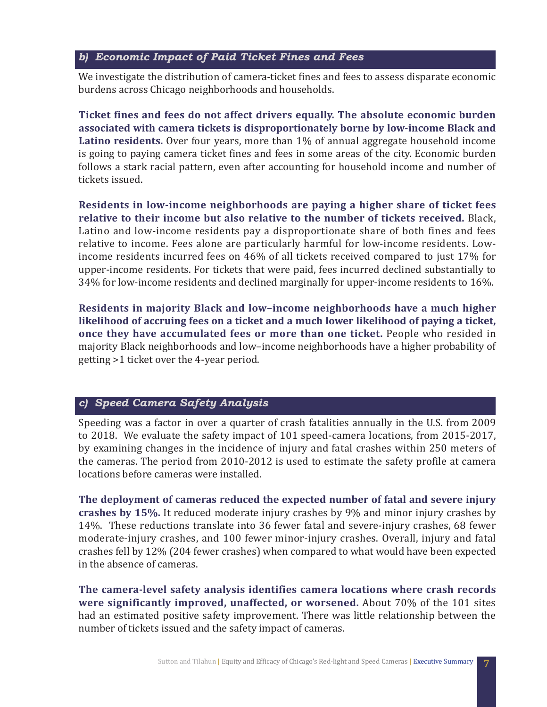#### *b) Economic Impact of Paid Ticket Fines and Fees*

We investigate the distribution of camera-ticket fines and fees to assess disparate economic burdens across Chicago neighborhoods and households.

**Ticket fines and fees do not affect drivers equally. The absolute economic burden associated with camera tickets is disproportionately borne by low-income Black and Latino residents.** Over four years, more than 1% of annual aggregate household income is going to paying camera ticket fines and fees in some areas of the city. Economic burden follows a stark racial pattern, even after accounting for household income and number of tickets issued.

**Residents in low-income neighborhoods are paying a higher share of ticket fees relative to their income but also relative to the number of tickets received.** Black, Latino and low-income residents pay a disproportionate share of both fines and fees relative to income. Fees alone are particularly harmful for low-income residents. Lowincome residents incurred fees on 46% of all tickets received compared to just 17% for upper-income residents. For tickets that were paid, fees incurred declined substantially to 34% for low-income residents and declined marginally for upper-income residents to 16%.

**Residents in majority Black and low–income neighborhoods have a much higher likelihood of accruing fees on a ticket and a much lower likelihood of paying a ticket, once they have accumulated fees or more than one ticket.** People who resided in majority Black neighborhoods and low–income neighborhoods have a higher probability of getting >1 ticket over the 4-year period.

#### *c) Speed Camera Safety Analysis*

Speeding was a factor in over a quarter of crash fatalities annually in the U.S. from 2009 to 2018. We evaluate the safety impact of 101 speed-camera locations, from 2015-2017, by examining changes in the incidence of injury and fatal crashes within 250 meters of the cameras. The period from 2010-2012 is used to estimate the safety profile at camera locations before cameras were installed.

**The deployment of cameras reduced the expected number of fatal and severe injury crashes by 15%.** It reduced moderate injury crashes by 9% and minor injury crashes by 14%. These reductions translate into 36 fewer fatal and severe-injury crashes, 68 fewer moderate-injury crashes, and 100 fewer minor-injury crashes. Overall, injury and fatal crashes fell by 12% (204 fewer crashes) when compared to what would have been expected in the absence of cameras.

**The camera-level safety analysis identifies camera locations where crash records were significantly improved, unaffected, or worsened.** About 70% of the 101 sites had an estimated positive safety improvement. There was little relationship between the number of tickets issued and the safety impact of cameras.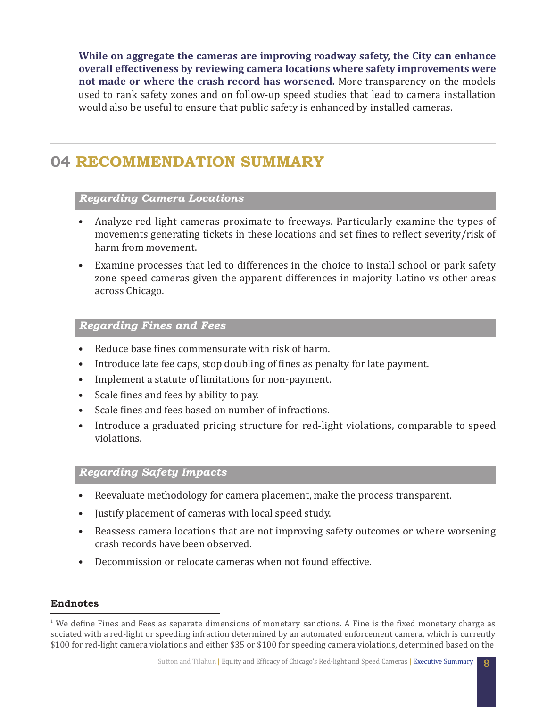**While on aggregate the cameras are improving roadway safety, the City can enhance overall effectiveness by reviewing camera locations where safety improvements were not made or where the crash record has worsened.** More transparency on the models used to rank safety zones and on follow-up speed studies that lead to camera installation would also be useful to ensure that public safety is enhanced by installed cameras.

### **04 RECOMMENDATION SUMMARY**

#### *Regarding Camera Locations*

- Analyze red-light cameras proximate to freeways. Particularly examine the types of movements generating tickets in these locations and set fines to reflect severity/risk of harm from movement.
- Examine processes that led to differences in the choice to install school or park safety zone speed cameras given the apparent differences in majority Latino vs other areas across Chicago.

#### *Regarding Fines and Fees*

- Reduce base fines commensurate with risk of harm.
- Introduce late fee caps, stop doubling of fines as penalty for late payment.
- Implement a statute of limitations for non-payment.
- Scale fines and fees by ability to pay.
- Scale fines and fees based on number of infractions.
- Introduce a graduated pricing structure for red-light violations, comparable to speed violations.

#### *Regarding Safety Impacts*

- Reevaluate methodology for camera placement, make the process transparent.
- Justify placement of cameras with local speed study.
- Reassess camera locations that are not improving safety outcomes or where worsening crash records have been observed.
- Decommission or relocate cameras when not found effective.

#### **Endnotes**

 $1$  We define Fines and Fees as separate dimensions of monetary sanctions. A Fine is the fixed monetary charge as sociated with a red-light or speeding infraction determined by an automated enforcement camera, which is currently \$100 for red-light camera violations and either \$35 or \$100 for speeding camera violations, determined based on the